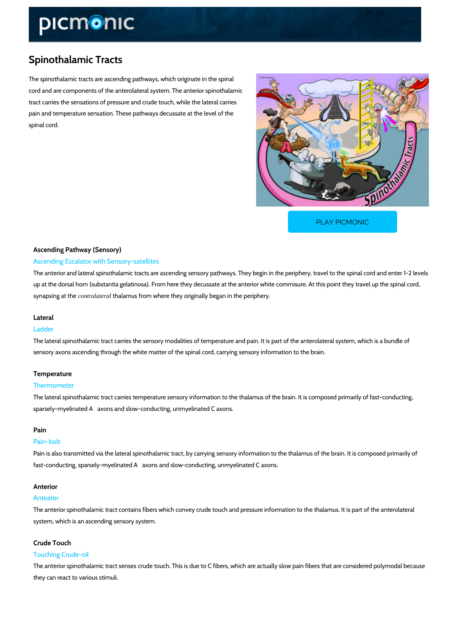# Spinothalamic Tracts

The spinothalamic tracts are ascending pathways, which originate in the spinal cord and are components of the anterolateral system. The anterior spinothalamic tract carries the sensations of pressure and crude touch, while the lateral carries pain and temperature sensation. These pathways decussate at the level of the spinal cord.

[PLAY PICMONIC](https://www.picmonic.com/learn/spinothalamic-tracts_1598?utm_source=downloadable_content&utm_medium=distributedcontent&utm_campaign=pathways_pdf&utm_content=Spinothalamic Tracts&utm_ad_group=leads&utm_market=all)

## Ascending Pathway (Sensory) Ascending Escalator with Sensory-satellites

The anterior and lateral spinothalamic tracts are ascending sensory pathways. They begin in t up at the dorsal horn (substantia gelatinosa). From here they decussate at the anterior white synapsing contral at thalamus from where they originally began in the periphery.

## Lateral

#### Ladder

The lateral spinothalamic tract carries the sensory modalities of temperature and pain. It is p sensory axons ascending through the white matter of the spinal cord, carrying sensory information

## Temperature

#### Thermometer

The lateral spinothalamic tract carries temperature sensory information to the thalamus of the sparsely-myelinated A´ axons and slow-conducting, unmyelinated C axons.

#### Pain

#### Pain-bolt

Pain is also transmitted via the lateral spinothalamic tract, by carrying sensory information to fast-conducting, sparsely-myelinated A´ axons and slow-conducting, unmyelinated C axons.

#### Anterior

## Anteater

The anterior spinothalamic tract contains fibers which convey crude touch and pressure inforn system, which is an ascending sensory system.

## Crude Touch

#### Touching Crude-oil

The anterior spinothalamic tract senses crude touch. This is due to C fibers, which are actual they can react to various stimuli.